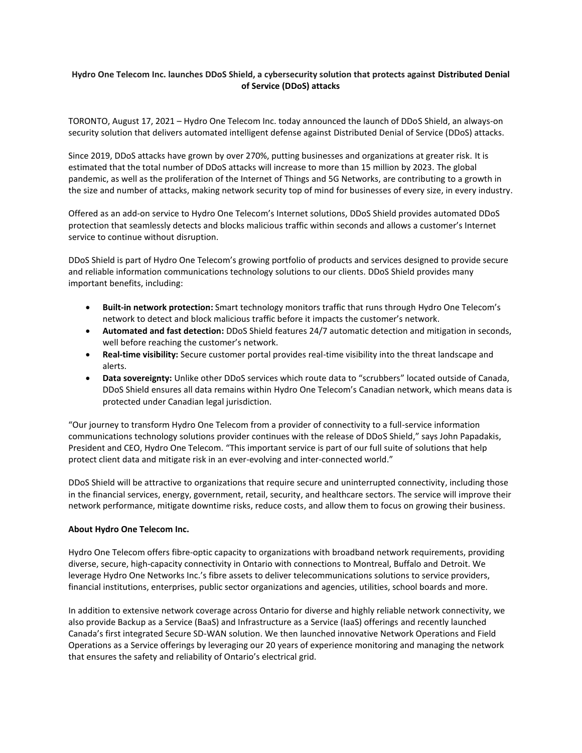## **Hydro One Telecom Inc. launches DDoS Shield, a cybersecurity solution that protects against Distributed Denial of Service (DDoS) attacks**

TORONTO, August 17, 2021 – Hydro One Telecom Inc. today announced the launch of DDoS Shield, an always-on security solution that delivers automated intelligent defense against Distributed Denial of Service (DDoS) attacks.

Since 2019, DDoS attacks have grown by over 270%, putting businesses and organizations at greater risk. It is estimated that the total number of DDoS attacks will increase to more than 15 million by 2023. The global pandemic, as well as the proliferation of the Internet of Things and 5G Networks, are contributing to a growth in the size and number of attacks, making network security top of mind for businesses of every size, in every industry.

Offered as an add-on service to Hydro One Telecom's Internet solutions, DDoS Shield provides automated DDoS protection that seamlessly detects and blocks malicious traffic within seconds and allows a customer's Internet service to continue without disruption.

DDoS Shield is part of Hydro One Telecom's growing portfolio of products and services designed to provide secure and reliable information communications technology solutions to our clients. DDoS Shield provides many important benefits, including:

- **Built-in network protection:** Smart technology monitors traffic that runs through Hydro One Telecom's network to detect and block malicious traffic before it impacts the customer's network.
- **Automated and fast detection:** DDoS Shield features 24/7 automatic detection and mitigation in seconds, well before reaching the customer's network.
- **Real-time visibility:** Secure customer portal provides real-time visibility into the threat landscape and alerts.
- **Data sovereignty:** Unlike other DDoS services which route data to "scrubbers" located outside of Canada, DDoS Shield ensures all data remains within Hydro One Telecom's Canadian network, which means data is protected under Canadian legal jurisdiction.

"Our journey to transform Hydro One Telecom from a provider of connectivity to a full-service information communications technology solutions provider continues with the release of DDoS Shield," says John Papadakis, President and CEO, Hydro One Telecom. "This important service is part of our full suite of solutions that help protect client data and mitigate risk in an ever-evolving and inter-connected world."

DDoS Shield will be attractive to organizations that require secure and uninterrupted connectivity, including those in the financial services, energy, government, retail, security, and healthcare sectors. The service will improve their network performance, mitigate downtime risks, reduce costs, and allow them to focus on growing their business.

## **About Hydro One Telecom Inc.**

Hydro One Telecom offers fibre-optic capacity to organizations with broadband network requirements, providing diverse, secure, high-capacity connectivity in Ontario with connections to Montreal, Buffalo and Detroit. We leverage Hydro One Networks Inc.'s fibre assets to deliver telecommunications solutions to service providers, financial institutions, enterprises, public sector organizations and agencies, utilities, school boards and more.

In addition to extensive network coverage across Ontario for diverse and highly reliable network connectivity, we also provide Backup as a Service (BaaS) and Infrastructure as a Service (IaaS) offerings and recently launched Canada's first integrated Secure SD-WAN solution. We then launched innovative Network Operations and Field Operations as a Service offerings by leveraging our 20 years of experience monitoring and managing the network that ensures the safety and reliability of Ontario's electrical grid.